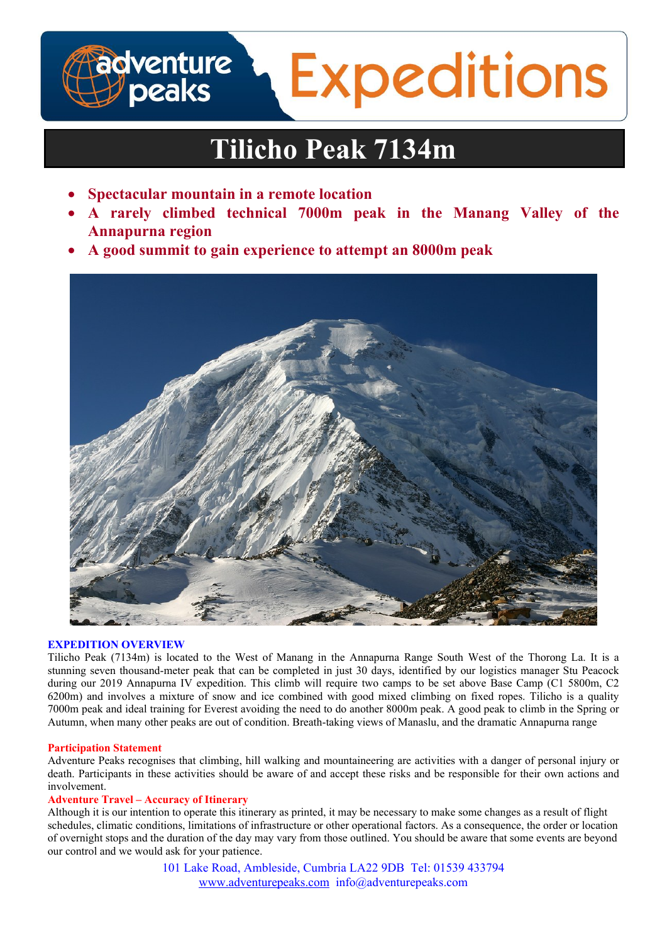# **adventure**<br>J peaks **Expeditions**

# **Tilicho Peak 7134m**

- **Spectacular mountain in a remote location**
- **A rarely climbed technical 7000m peak in the Manang Valley of the Annapurna region**
- **A good summit to gain experience to attempt an 8000m peak**



# **EXPEDITION OVERVIEW**

Tilicho Peak (7134m) is located to the West of Manang in the Annapurna Range South West of the Thorong La. It is a stunning seven thousand-meter peak that can be completed in just 30 days, identified by our logistics manager Stu Peacock during our 2019 Annapurna IV expedition. This climb will require two camps to be set above Base Camp (C1 5800m, C2 6200m) and involves a mixture of snow and ice combined with good mixed climbing on fixed ropes. Tilicho is a quality 7000m peak and ideal training for Everest avoiding the need to do another 8000m peak. A good peak to climb in the Spring or Autumn, when many other peaks are out of condition. Breath-taking views of Manaslu, and the dramatic Annapurna range

# **Participation Statement**

Adventure Peaks recognises that climbing, hill walking and mountaineering are activities with a danger of personal injury or death. Participants in these activities should be aware of and accept these risks and be responsible for their own actions and involvement.

# **Adventure Travel – Accuracy of Itinerary**

Although it is our intention to operate this itinerary as printed, it may be necessary to make some changes as a result of flight schedules, climatic conditions, limitations of infrastructure or other operational factors. As a consequence, the order or location of overnight stops and the duration of the day may vary from those outlined. You should be aware that some events are beyond our control and we would ask for your patience.

> 101 Lake Road, Ambleside, Cumbria LA22 9DB Tel: 01539 433794 www.adventurepeaks.com info@adventurepeaks.com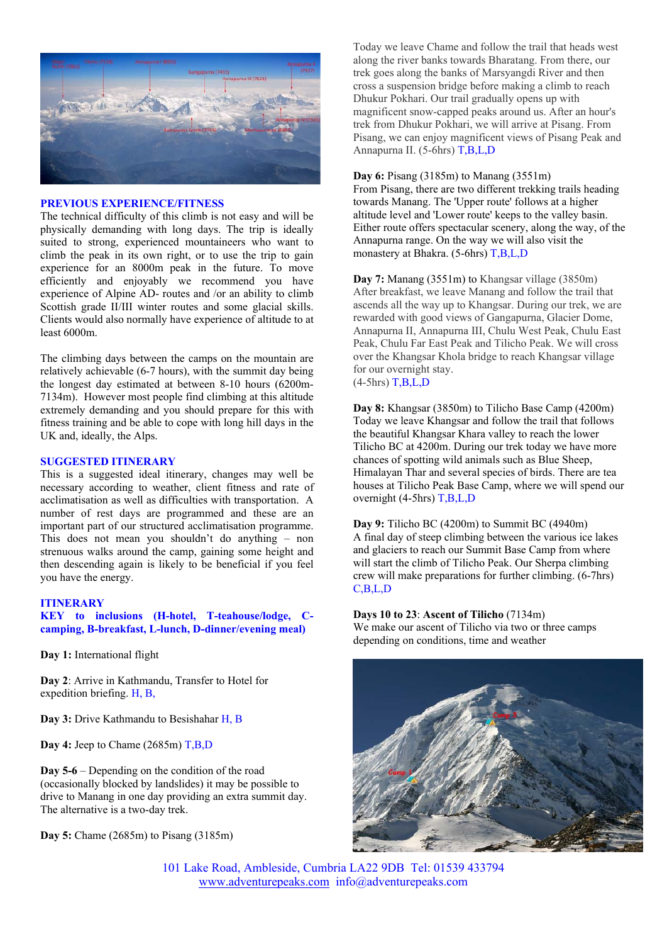

#### **PREVIOUS EXPERIENCE/FITNESS**

The technical difficulty of this climb is not easy and will be physically demanding with long days. The trip is ideally suited to strong, experienced mountaineers who want to climb the peak in its own right, or to use the trip to gain experience for an 8000m peak in the future. To move efficiently and enjoyably we recommend you have experience of Alpine AD- routes and /or an ability to climb Scottish grade II/III winter routes and some glacial skills. Clients would also normally have experience of altitude to at least 6000m.

The climbing days between the camps on the mountain are relatively achievable (6-7 hours), with the summit day being the longest day estimated at between 8-10 hours (6200m-7134m). However most people find climbing at this altitude extremely demanding and you should prepare for this with fitness training and be able to cope with long hill days in the UK and, ideally, the Alps.

### **SUGGESTED ITINERARY**

This is a suggested ideal itinerary, changes may well be necessary according to weather, client fitness and rate of acclimatisation as well as difficulties with transportation. A number of rest days are programmed and these are an important part of our structured acclimatisation programme. This does not mean you shouldn't do anything – non strenuous walks around the camp, gaining some height and then descending again is likely to be beneficial if you feel you have the energy.

#### **ITINERARY**

**KEY to inclusions (H-hotel, T-teahouse/lodge, Ccamping, B-breakfast, L-lunch, D-dinner/evening meal)** 

**Day 1:** International flight

**Day 2**: Arrive in Kathmandu, Transfer to Hotel for expedition briefing. H, B,

**Day 3:** Drive Kathmandu to Besishahar H, B

Day 4: Jeep to Chame (2685m) T,B,D

**Day 5-6** – Depending on the condition of the road (occasionally blocked by landslides) it may be possible to drive to Manang in one day providing an extra summit day. The alternative is a two-day trek.

**Day 5:** Chame (2685m) to Pisang (3185m)

Today we leave Chame and follow the trail that heads west along the river banks towards Bharatang. From there, our trek goes along the banks of Marsyangdi River and then cross a suspension bridge before making a climb to reach Dhukur Pokhari. Our trail gradually opens up with magnificent snow-capped peaks around us. After an hour's trek from Dhukur Pokhari, we will arrive at Pisang. From Pisang, we can enjoy magnificent views of Pisang Peak and Annapurna II. (5-6hrs) T,B,L,D

#### **Day 6:** Pisang (3185m) to Manang (3551m)

From Pisang, there are two different trekking trails heading towards Manang. The 'Upper route' follows at a higher altitude level and 'Lower route' keeps to the valley basin. Either route offers spectacular scenery, along the way, of the Annapurna range. On the way we will also visit the monastery at Bhakra. (5-6hrs) T,B,L,D

**Day 7:** Manang (3551m) to Khangsar village (3850m) After breakfast, we leave Manang and follow the trail that ascends all the way up to Khangsar. During our trek, we are rewarded with good views of Gangapurna, Glacier Dome, Annapurna II, Annapurna III, Chulu West Peak, Chulu East Peak, Chulu Far East Peak and Tilicho Peak. We will cross over the Khangsar Khola bridge to reach Khangsar village for our overnight stay.  $(4-5)$ hrs) T,B,L,D

**Day 8:** Khangsar (3850m) to Tilicho Base Camp (4200m) Today we leave Khangsar and follow the trail that follows the beautiful Khangsar Khara valley to reach the lower Tilicho BC at 4200m. During our trek today we have more chances of spotting wild animals such as Blue Sheep, Himalayan Thar and several species of birds. There are tea houses at Tilicho Peak Base Camp, where we will spend our overnight (4-5hrs) T,B,L,D

**Day 9:** Tilicho BC (4200m) to Summit BC (4940m) A final day of steep climbing between the various ice lakes and glaciers to reach our Summit Base Camp from where will start the climb of Tilicho Peak. Our Sherpa climbing crew will make preparations for further climbing. (6-7hrs) C,B,L,D

**Days 10 to 23**: **Ascent of Tilicho** (7134m)

We make our ascent of Tilicho via two or three camps depending on conditions, time and weather



101 Lake Road, Ambleside, Cumbria LA22 9DB Tel: 01539 433794 www.adventurepeaks.com info@adventurepeaks.com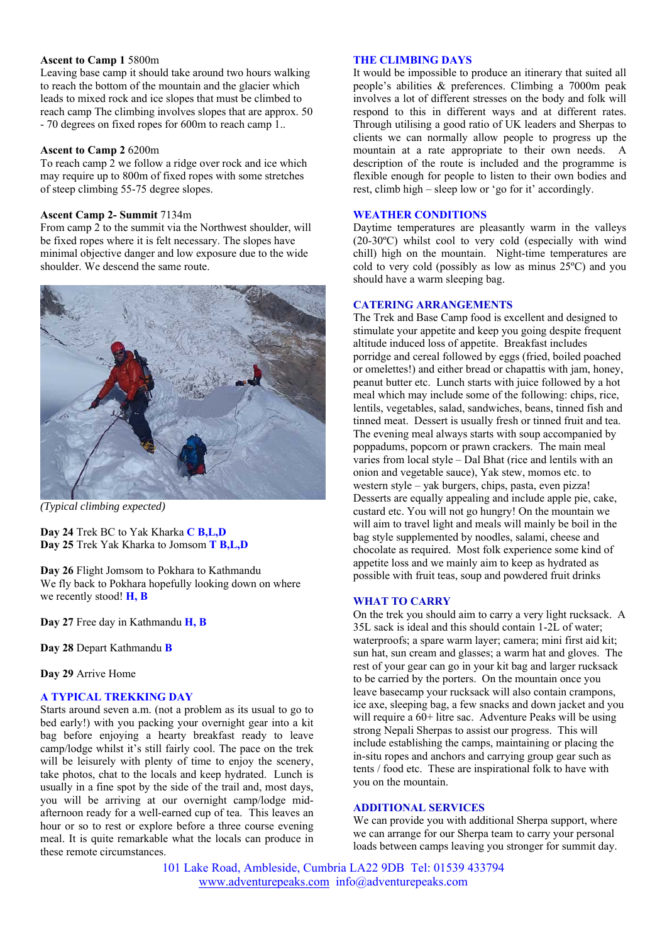### **Ascent to Camp 1** 5800m

Leaving base camp it should take around two hours walking to reach the bottom of the mountain and the glacier which leads to mixed rock and ice slopes that must be climbed to reach camp The climbing involves slopes that are approx. 50 - 70 degrees on fixed ropes for 600m to reach camp 1..

#### **Ascent to Camp 2** 6200m

To reach camp 2 we follow a ridge over rock and ice which may require up to 800m of fixed ropes with some stretches of steep climbing 55-75 degree slopes.

# **Ascent Camp 2- Summit** 7134m

From camp 2 to the summit via the Northwest shoulder, will be fixed ropes where it is felt necessary. The slopes have minimal objective danger and low exposure due to the wide shoulder. We descend the same route.



*(Typical climbing expected)* 

**Day 24** Trek BC to Yak Kharka **C B,L,D Day 25** Trek Yak Kharka to Jomsom **T B,L,D**

**Day 26** Flight Jomsom to Pokhara to Kathmandu We fly back to Pokhara hopefully looking down on where we recently stood! **H, B** 

**Day 27** Free day in Kathmandu **H, B** 

**Day 28** Depart Kathmandu **B** 

**Day 29** Arrive Home

# **A TYPICAL TREKKING DAY**

Starts around seven a.m. (not a problem as its usual to go to bed early!) with you packing your overnight gear into a kit bag before enjoying a hearty breakfast ready to leave camp/lodge whilst it's still fairly cool. The pace on the trek will be leisurely with plenty of time to enjoy the scenery, take photos, chat to the locals and keep hydrated. Lunch is usually in a fine spot by the side of the trail and, most days, you will be arriving at our overnight camp/lodge midafternoon ready for a well-earned cup of tea. This leaves an hour or so to rest or explore before a three course evening meal. It is quite remarkable what the locals can produce in these remote circumstances.

# **THE CLIMBING DAYS**

It would be impossible to produce an itinerary that suited all people's abilities & preferences. Climbing a 7000m peak involves a lot of different stresses on the body and folk will respond to this in different ways and at different rates. Through utilising a good ratio of UK leaders and Sherpas to clients we can normally allow people to progress up the mountain at a rate appropriate to their own needs. A description of the route is included and the programme is flexible enough for people to listen to their own bodies and rest, climb high – sleep low or 'go for it' accordingly.

# **WEATHER CONDITIONS**

Daytime temperatures are pleasantly warm in the valleys (20-30ºC) whilst cool to very cold (especially with wind chill) high on the mountain. Night-time temperatures are cold to very cold (possibly as low as minus 25ºC) and you should have a warm sleeping bag.

### **CATERING ARRANGEMENTS**

The Trek and Base Camp food is excellent and designed to stimulate your appetite and keep you going despite frequent altitude induced loss of appetite. Breakfast includes porridge and cereal followed by eggs (fried, boiled poached or omelettes!) and either bread or chapattis with jam, honey, peanut butter etc. Lunch starts with juice followed by a hot meal which may include some of the following: chips, rice, lentils, vegetables, salad, sandwiches, beans, tinned fish and tinned meat. Dessert is usually fresh or tinned fruit and tea. The evening meal always starts with soup accompanied by poppadums, popcorn or prawn crackers. The main meal varies from local style – Dal Bhat (rice and lentils with an onion and vegetable sauce), Yak stew, momos etc. to western style – yak burgers, chips, pasta, even pizza! Desserts are equally appealing and include apple pie, cake, custard etc. You will not go hungry! On the mountain we will aim to travel light and meals will mainly be boil in the bag style supplemented by noodles, salami, cheese and chocolate as required. Most folk experience some kind of appetite loss and we mainly aim to keep as hydrated as possible with fruit teas, soup and powdered fruit drinks

### **WHAT TO CARRY**

On the trek you should aim to carry a very light rucksack. A 35L sack is ideal and this should contain 1-2L of water; waterproofs; a spare warm layer; camera; mini first aid kit; sun hat, sun cream and glasses; a warm hat and gloves. The rest of your gear can go in your kit bag and larger rucksack to be carried by the porters. On the mountain once you leave basecamp your rucksack will also contain crampons, ice axe, sleeping bag, a few snacks and down jacket and you will require a 60+ litre sac. Adventure Peaks will be using strong Nepali Sherpas to assist our progress. This will include establishing the camps, maintaining or placing the in-situ ropes and anchors and carrying group gear such as tents / food etc. These are inspirational folk to have with you on the mountain.

#### **ADDITIONAL SERVICES**

We can provide you with additional Sherpa support, where we can arrange for our Sherpa team to carry your personal loads between camps leaving you stronger for summit day.

101 Lake Road, Ambleside, Cumbria LA22 9DB Tel: 01539 433794 www.adventurepeaks.com info@adventurepeaks.com